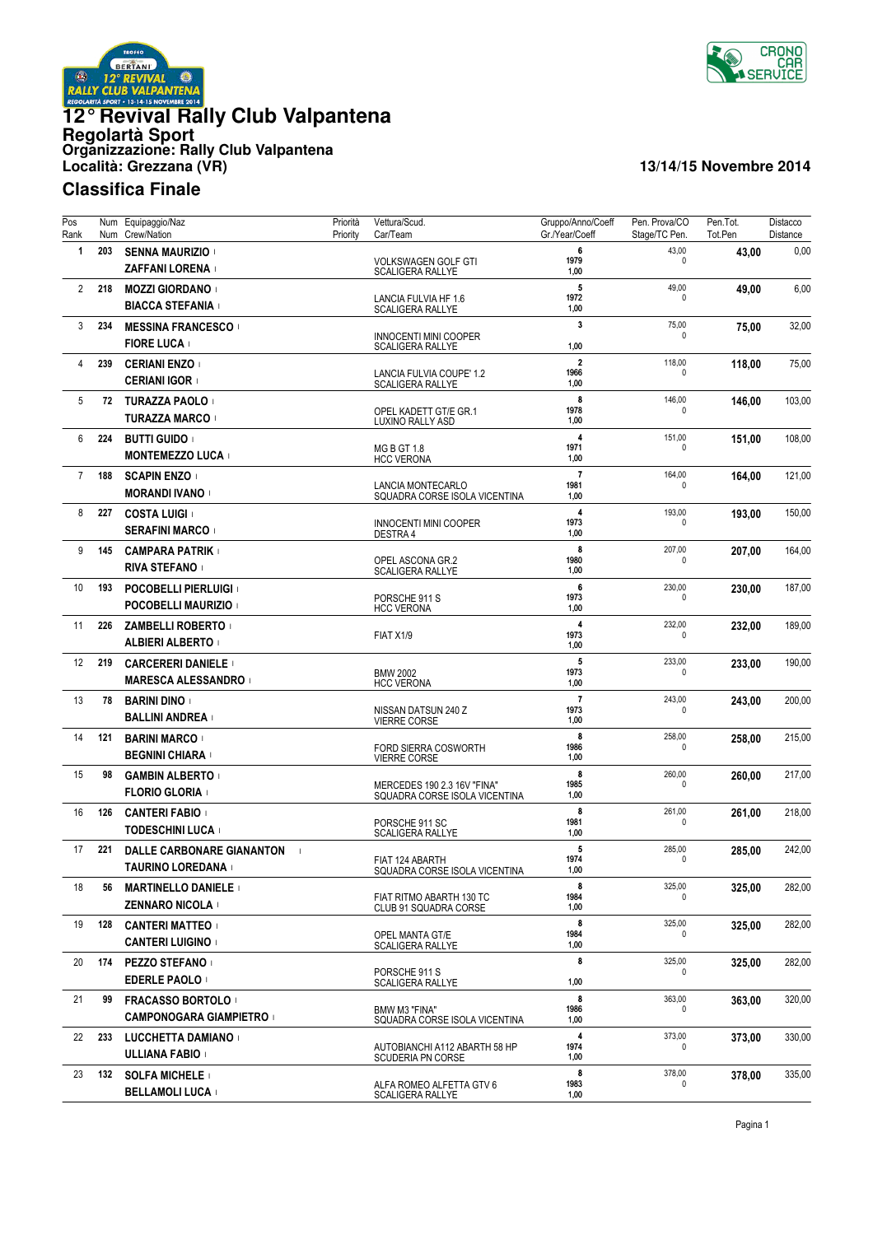



| Pos<br>Rank    |     | Num Equipaggio/Naz<br>Num Crew/Nation                                | Priorità<br>Priority | Vettura/Scud.<br>Car/Team                                     | Gruppo/Anno/Coeff<br>Gr./Year/Coeff    | Pen. Prova/CO<br>Stage/TC Pen. | Pen.Tot.<br>Tot.Pen | Distacco<br>Distance |
|----------------|-----|----------------------------------------------------------------------|----------------------|---------------------------------------------------------------|----------------------------------------|--------------------------------|---------------------|----------------------|
| 1              | 203 | <b>SENNA MAURIZIO</b><br><b>ZAFFANI LORENA</b>                       |                      | <b>VOLKSWAGEN GOLF GTI</b><br><b>SCALIGERA RALLYE</b>         | 6<br>1979<br>1,00                      | 43,00<br>$\mathbf 0$           | 43,00               | 0,00                 |
| $\overline{2}$ | 218 | <b>MOZZI GIORDANO</b><br><b>BIACCA STEFANIA</b> +                    |                      | LANCIA FULVIA HF 1.6<br><b>SCALIGERA RALLYE</b>               | 5<br>1972<br>1,00                      | 49,00<br>$\Omega$              | 49,00               | 6,00                 |
| 3              | 234 | <b>MESSINA FRANCESCO</b><br><b>FIORE LUCA</b>                        |                      | <b>INNOCENTI MINI COOPER</b>                                  | $\overline{\mathbf{3}}$<br>1,00        | 75,00<br>$\mathbf{0}$          | 75,00               | 32,00                |
| 4              | 239 | <b>CERIANI ENZO</b><br><b>CERIANI IGOR</b> 1                         |                      | <b>SCALIGERA RALLYE</b><br><b>LANCIA FULVIA COUPE' 1.2</b>    | $\overline{\mathbf{2}}$<br>1966        | 118,00<br>$\mathbf{0}$         | 118,00              | 75,00                |
| 5              | 72  | <b>TURAZZA PAOLO</b><br><b>TURAZZA MARCO</b>                         |                      | <b>SCALIGERA RALLYE</b><br>OPEL KADETT GT/E GR.1              | 1,00<br>8<br>1978                      | 146,00<br><sup>0</sup>         | 146,00              | 103,00               |
| 6              | 224 | <b>BUTTI GUIDO</b>                                                   |                      | LUXINO RALLY ASD<br><b>MG B GT 1.8</b>                        | 1,00<br>$\overline{4}$<br>1971         | 151,00<br><sup>0</sup>         | 151,00              | 108,00               |
| $\overline{7}$ | 188 | <b>MONTEMEZZO LUCA</b><br><b>SCAPIN ENZO</b><br><b>MORANDI IVANO</b> |                      | <b>HCC VERONA</b><br>LANCIA MONTECARLO                        | 1,00<br>$\overline{7}$<br>1981         | 164,00<br>$\Omega$             | 164,00              | 121,00               |
| 8              | 227 | <b>COSTA LUIGI</b><br><b>SERAFINI MARCO</b>                          |                      | SQUADRA CORSE ISOLA VICENTINA<br><b>INNOCENTI MINI COOPER</b> | 1,00<br>$\overline{4}$<br>1973<br>1,00 | 193,00<br>$\Omega$             | 193,00              | 150,00               |
| 9              | 145 | <b>CAMPARA PATRIK</b><br><b>RIVA STEFANO</b>                         |                      | DESTRA 4<br>OPEL ASCONA GR.2                                  | 8<br>1980<br>1,00                      | 207,00<br>0                    | 207,00              | 164,00               |
| 10             | 193 | <b>POCOBELLI PIERLUIGI</b><br>POCOBELLI MAURIZIO +                   |                      | <b>SCALIGERA RALLYE</b><br>PORSCHE 911 S<br><b>HCC VERONA</b> | 6<br>1973<br>1,00                      | 230,00<br>0                    | 230,00              | 187,00               |
| 11             | 226 | ZAMBELLI ROBERTO +<br><b>ALBIERI ALBERTO</b>                         |                      | FIAT X1/9                                                     | 4<br>1973<br>1,00                      | 232,00<br>$\mathbf{0}$         | 232,00              | 189,00               |
| 12             | 219 | <b>CARCERERI DANIELE</b><br><b>MARESCA ALESSANDRO</b> I              |                      | <b>BMW 2002</b><br><b>HCC VERONA</b>                          | 5<br>1973<br>1,00                      | 233,00<br>$\mathbf{0}$         | 233,00              | 190,00               |
| 13             | 78  | <b>BARINI DINO</b><br><b>BALLINI ANDREA</b> +                        |                      | NISSAN DATSUN 240 Z<br><b>VIERRE CORSE</b>                    | $\overline{7}$<br>1973<br>1,00         | 243,00<br>0                    | 243,00              | 200,00               |
| 14             | 121 | <b>BARINI MARCO</b><br>BEGNINI CHIARA +                              |                      | FORD SIERRA COSWORTH<br><b>VIERRE CORSE</b>                   | 8<br>1986<br>1,00                      | 258,00<br>$\mathbf{0}$         | 258,00              | 215,00               |
| 15             | 98  | <b>GAMBIN ALBERTO</b><br>FLORIO GLORIA I                             |                      | MERCEDES 190 2.3 16V "FINA"<br>SQUADRA CORSE ISOLA VICENTINA  | 8<br>1985<br>1,00                      | 260,00<br>0                    | 260,00              | 217,00               |
| 16             | 126 | <b>CANTERI FABIO</b><br><b>TODESCHINI LUCA</b> +                     |                      | PORSCHE 911 SC<br><b>SCALIGERA RALLYE</b>                     | 8<br>1981<br>1,00                      | 261,00<br>0                    | 261,00              | 218,00               |
| 17             | 221 | DALLE CARBONARE GIANANTON<br>$\sim$ 1<br>TAURINO LOREDANA            |                      | FIAT 124 ABARTH<br>SQUADRA CORSE ISOLA VICENTINA              | 5<br>1974<br>1,00                      | 285,00<br>0                    | 285,00              | 242,00               |
| 18             | 56  | <b>MARTINELLO DANIELE</b><br><b>ZENNARO NICOLA</b>                   |                      | FIAT RITMO ABARTH 130 TC<br>CLUB 91 SQUADRA CORSE             | 8<br>1984<br>1,00                      | 325,00<br>$\Omega$             | 325,00              | 282,00               |
| 19             | 128 | <b>CANTERI MATTEO</b><br><b>CANTERI LUIGINO</b> 1                    |                      | OPEL MANTA GT/E<br>SCALIGERA RALLYE                           | 8<br>1984<br>1,00                      | 325,00<br>$\mathbf{0}$         | 325,00              | 282,00               |
| 20             | 174 | <b>PEZZO STEFANO</b><br><b>EDERLE PAOLO</b>                          |                      | PORSCHE 911 S<br><b>SCALIGERA RALLYE</b>                      | 8<br>1,00                              | 325,00<br>$\Omega$             | 325,00              | 282,00               |
| 21             | 99  | <b>FRACASSO BORTOLO</b><br>CAMPONOGARA GIAMPIETRO :                  |                      | BMW M3 "FINA"<br>SQUADRA CORSE ISOLA VICENTINA                | 8<br>1986<br>1,00                      | 363,00<br>0                    | 363,00              | 320,00               |
| 22             | 233 | LUCCHETTA DAMIANO +<br>ULLIANA FABIO +                               |                      | AUTOBIANCHI A112 ABARTH 58 HP<br><b>SCUDERIA PN CORSE</b>     | 4<br>1974<br>1,00                      | 373,00<br>0                    | 373,00              | 330,00               |
| 23             | 132 | <b>SOLFA MICHELE</b><br><b>BELLAMOLI LUCA</b>                        |                      | ALFA ROMEO ALFETTA GTV 6<br><b>SCALIGERA RALLYE</b>           | 8<br>1983<br>1,00                      | 378,00<br>$\mathbf{0}$         | 378,00              | 335,00               |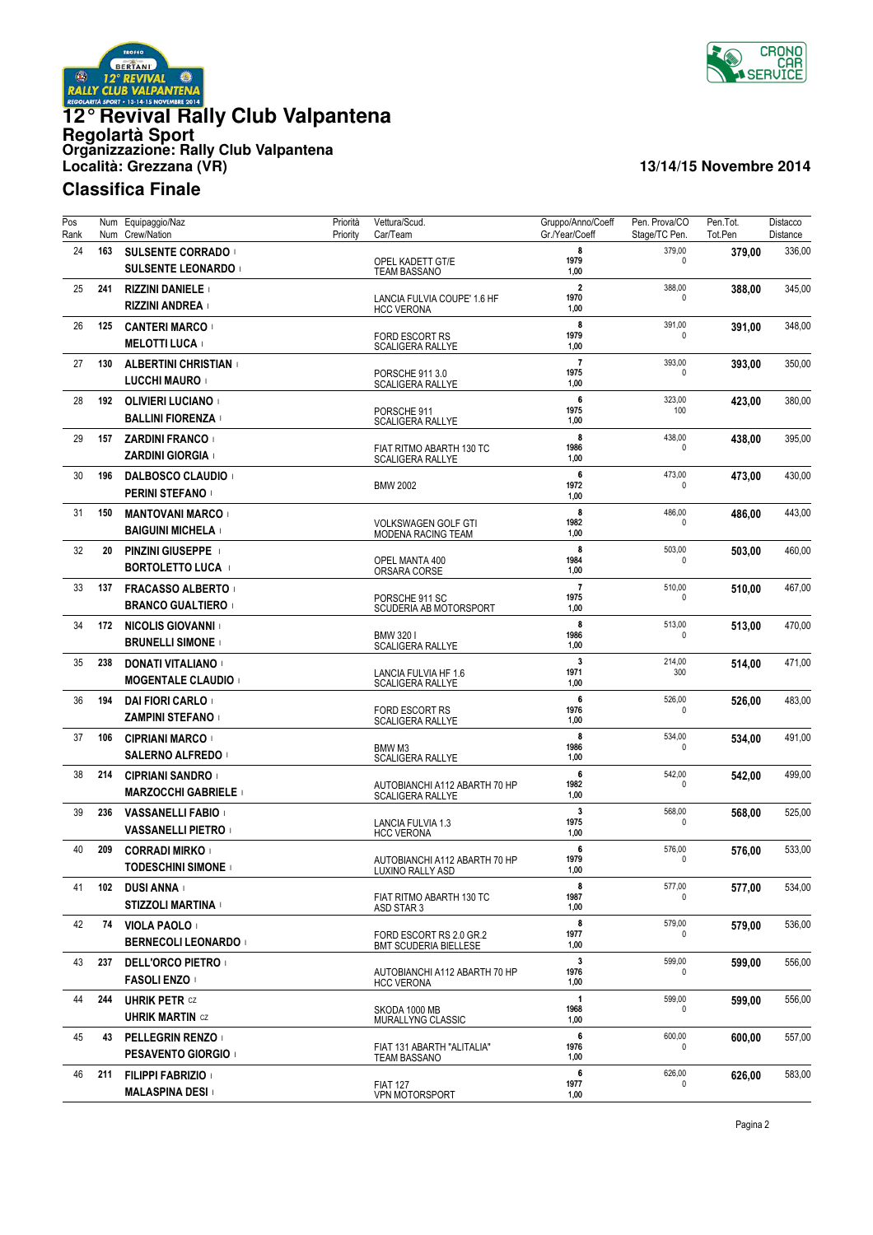



| Pos<br>Rank |     | Num Equipaggio/Naz<br>Num Crew/Nation               | Priorità<br>Priority | Vettura/Scud.<br>Car/Team                                | Gruppo/Anno/Coeff<br>Gr./Year/Coeff     | Pen. Prova/CO<br>Stage/TC Pen. | Pen.Tot.<br>Tot.Pen | Distacco<br>Distance |
|-------------|-----|-----------------------------------------------------|----------------------|----------------------------------------------------------|-----------------------------------------|--------------------------------|---------------------|----------------------|
| 24          | 163 | <b>SULSENTE CORRADO</b><br><b>SULSENTE LEONARDO</b> |                      | OPEL KADETT GT/E<br><b>TEAM BASSANO</b>                  | 8<br>1979<br>1,00                       | 379,00<br>0                    | 379,00              | 336,00               |
| 25          | 241 | <b>RIZZINI DANIELE</b><br><b>RIZZINI ANDREA</b>     |                      | LANCIA FULVIA COUPE' 1.6 HF<br><b>HCC VERONA</b>         | $\overline{2}$<br>1970<br>1,00          | 388,00<br>0                    | 388,00              | 345,00               |
| 26          | 125 | <b>CANTERI MARCO</b><br><b>MELOTTI LUCA</b>         |                      | FORD ESCORT RS<br><b>SCALIGERA RALLYE</b>                | 8<br>1979<br>1,00                       | 391,00<br>0                    | 391,00              | 348,00               |
| 27          | 130 | <b>ALBERTINI CHRISTIAN</b><br>LUCCHI MAURO          |                      | PORSCHE 911 3.0<br><b>SCALIGERA RALLYE</b>               | $\overline{7}$<br>1975<br>1,00          | 393,00<br><sup>0</sup>         | 393,00              | 350,00               |
| 28          | 192 | <b>OLIVIERI LUCIANO</b><br><b>BALLINI FIORENZA</b>  |                      | PORSCHE 911<br><b>SCALIGERA RALLYE</b>                   | 6<br>1975<br>1,00                       | 323,00<br>100                  | 423,00              | 380,00               |
| 29          | 157 | <b>ZARDINI FRANCO</b><br><b>ZARDINI GIORGIA</b>     |                      | FIAT RITMO ABARTH 130 TC<br><b>SCALIGERA RALLYE</b>      | 8<br>1986<br>1,00                       | 438,00<br>$\mathbf{0}$         | 438,00              | 395,00               |
| 30          | 196 | <b>DALBOSCO CLAUDIO</b><br><b>PERINI STEFANO</b>    |                      | <b>BMW 2002</b>                                          | 6<br>1972<br>1,00                       | 473,00<br>0                    | 473,00              | 430,00               |
| 31          | 150 | <b>MANTOVANI MARCO</b><br><b>BAIGUINI MICHELA</b>   |                      | <b>VOLKSWAGEN GOLF GTI</b><br><b>MODENA RACING TEAM</b>  | 8<br>1982<br>1,00                       | 486,00<br>0                    | 486,00              | 443,00               |
| 32          | 20  | <b>PINZINI GIUSEPPE</b><br><b>BORTOLETTO LUCA</b>   |                      | OPEL MANTA 400<br>ORSARA CORSE                           | 8<br>1984<br>1,00                       | 503,00<br>0                    | 503,00              | 460,00               |
| 33          | 137 | <b>FRACASSO ALBERTO</b><br><b>BRANCO GUALTIERO</b>  |                      | PORSCHE 911 SC<br>SCUDERIA AB MOTORSPORT                 | $\overline{\mathbf{r}}$<br>1975<br>1,00 | 510,00<br>0                    | 510,00              | 467,00               |
| 34          | 172 | <b>NICOLIS GIOVANNI</b><br><b>BRUNELLI SIMONE</b>   |                      | <b>BMW 3201</b><br>SCALIGERA RALLYE                      | 8<br>1986<br>1,00                       | 513,00<br>0                    | 513,00              | 470,00               |
| 35          | 238 | <b>DONATI VITALIANO</b><br><b>MOGENTALE CLAUDIO</b> |                      | LANCIA FULVIA HF 1.6<br><b>SCALIGERA RALLYE</b>          | 3<br>1971<br>1,00                       | 214,00<br>300                  | 514,00              | 471,00               |
| 36          | 194 | <b>DAI FIORI CARLO</b><br><b>ZAMPINI STEFANO</b>    |                      | <b>FORD ESCORT RS</b><br><b>SCALIGERA RALLYE</b>         | 6<br>1976<br>1,00                       | 526,00<br>0                    | 526,00              | 483,00               |
| 37          | 106 | <b>CIPRIANI MARCO</b><br><b>SALERNO ALFREDO</b>     |                      | BMW M3<br><b>SCALIGERA RALLYE</b>                        | 8<br>1986<br>1,00                       | 534,00<br>0                    | 534,00              | 491,00               |
| 38          | 214 | <b>CIPRIANI SANDRO</b><br><b>MARZOCCHI GABRIELE</b> |                      | AUTOBIANCHI A112 ABARTH 70 HP<br><b>SCALIGERA RALLYE</b> | 6<br>1982<br>1,00                       | 542,00<br>0                    | 542,00              | 499,00               |
| 39          | 236 | <b>VASSANELLI FABIO</b><br><b>VASSANELLI PIETRO</b> |                      | LANCIA FULVIA 1.3<br><b>HCC VERONA</b>                   | 3<br>1975<br>1,00                       | 568,00<br>0                    | 568,00              | 525,00               |
| 40          | 209 | <b>CORRADI MIRKO</b><br><b>TODESCHINI SIMONE</b>    |                      | AUTOBIANCHI A112 ABARTH 70 HP<br>LUXINO RALLY ASD        | 6<br>1979<br>1,00                       | 576,00<br>0                    | 576,00              | 533,00               |
| 41          | 102 | <b>DUSI ANNA</b> +<br><b>STIZZOLI MARTINA</b>       |                      | FIAT RITMO ABARTH 130 TC<br>ASD STAR 3                   | 8<br>1987<br>1,00                       | 577,00<br><sup>0</sup>         | 577.00              | 534,00               |
| 42          | 74  | <b>VIOLA PAOLO</b><br><b>BERNECOLI LEONARDO</b>     |                      | FORD ESCORT RS 2.0 GR.2<br><b>BMT SCUDERIA BIELLESE</b>  | 8<br>1977<br>1,00                       | 579,00<br>0                    | 579,00              | 536,00               |
| 43          | 237 | <b>DELL'ORCO PIETRO</b><br><b>FASOLI ENZO</b>       |                      | AUTOBIANCHI A112 ABARTH 70 HP<br><b>HCC VERONA</b>       | 3<br>1976<br>1,00                       | 599,00<br>0                    | 599,00              | 556,00               |
| 44          | 244 | <b>UHRIK PETR CZ</b><br><b>UHRIK MARTIN CZ</b>      |                      | SKODA 1000 MB<br>MURALLYNG CLASSIC                       | $\mathbf{1}$<br>1968<br>1,00            | 599,00<br>0                    | 599,00              | 556,00               |
| 45          | 43  | <b>PELLEGRIN RENZO</b><br><b>PESAVENTO GIORGIO</b>  |                      | FIAT 131 ABARTH "ALITALIA"<br>TEAM BASSANO               | 6<br>1976<br>1,00                       | 600,00<br>0                    | 600,00              | 557,00               |
| 46          | 211 | <b>FILIPPI FABRIZIO</b><br><b>MALASPINA DESI</b>    |                      | <b>FIAT 127</b><br><b>VPN MOTORSPORT</b>                 | 6<br>1977<br>1,00                       | 626,00<br>0                    | 626,00              | 583,00               |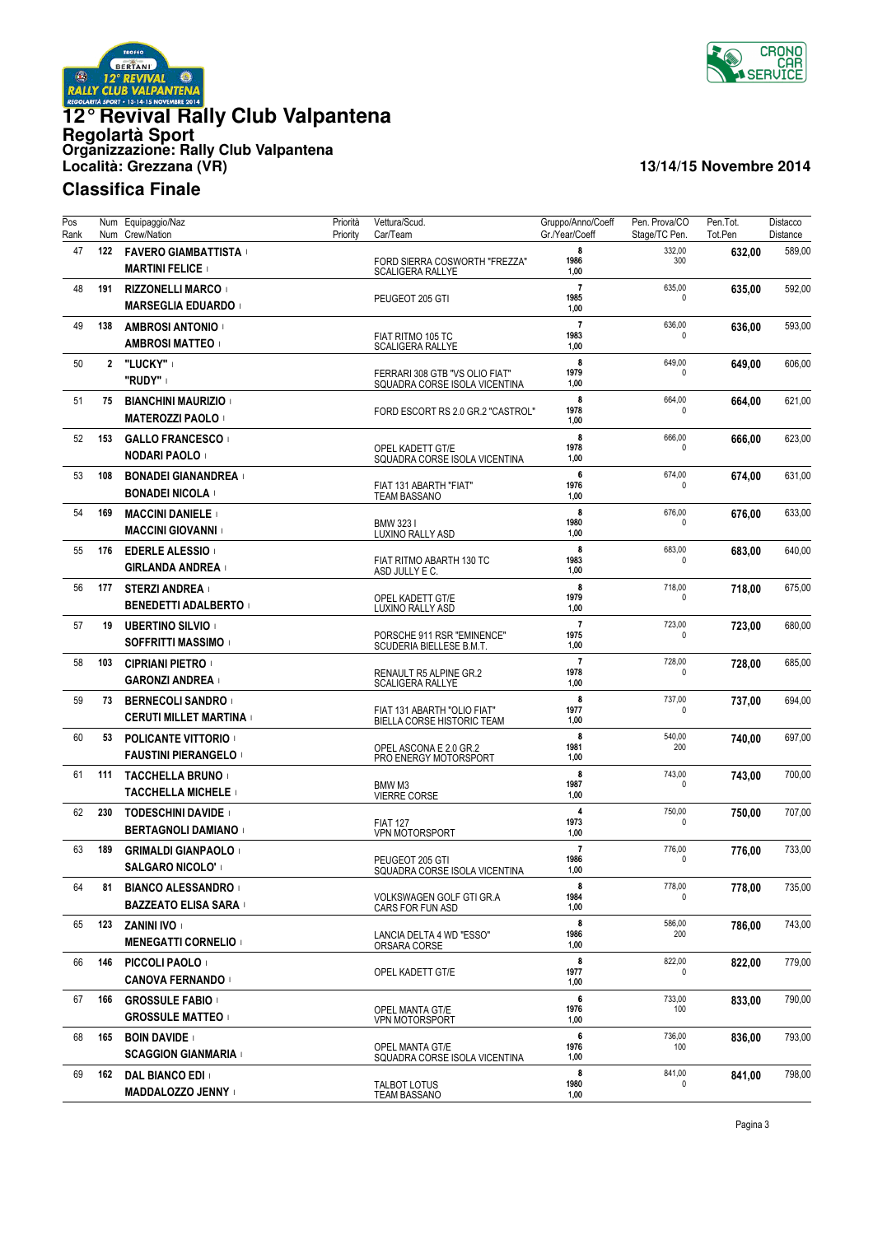



| Pos<br>Rank | Num<br>Num   | Equipaggio/Naz<br>Crew/Nation                             | Priorità<br>Priority | Vettura/Scud.<br>Car/Team                                       | Gruppo/Anno/Coeff<br>Gr./Year/Coeff | Pen. Prova/CO<br>Stage/TC Pen. | Pen.Tot.<br>Tot.Pen | Distacco<br>Distance |
|-------------|--------------|-----------------------------------------------------------|----------------------|-----------------------------------------------------------------|-------------------------------------|--------------------------------|---------------------|----------------------|
| 47          | 122          | <b>FAVERO GIAMBATTISTA</b><br><b>MARTINI FELICE</b>       |                      | FORD SIERRA COSWORTH "FREZZA"<br><b>SCALIGERA RALLYE</b>        | 8<br>1986<br>1,00                   | 332,00<br>300                  | 632.00              | 589,00               |
| 48          | 191          | <b>RIZZONELLI MARCO</b><br><b>MARSEGLIA EDUARDO</b>       |                      | PEUGEOT 205 GTI                                                 | $\overline{7}$<br>1985<br>1,00      | 635,00<br>$\mathbf 0$          | 635,00              | 592,00               |
| 49          | 138          | <b>AMBROSI ANTONIO</b><br><b>AMBROSI MATTEO</b>           |                      | FIAT RITMO 105 TC<br><b>SCALIGERA RALLYE</b>                    | $\overline{7}$<br>1983<br>1,00      | 636,00<br>0                    | 636,00              | 593,00               |
| 50          | $\mathbf{2}$ | "LUCKY"  <br>"RUDY"                                       |                      | FERRARI 308 GTB "VS OLIO FIAT"<br>SQUADRA CORSE ISOLA VICENTINA | 8<br>1979<br>1,00                   | 649,00<br>0                    | 649,00              | 606,00               |
| 51          | 75           | <b>BIANCHINI MAURIZIO</b><br><b>MATEROZZI PAOLO</b>       |                      | FORD ESCORT RS 2.0 GR.2 "CASTROL"                               | 8<br>1978<br>1,00                   | 664,00<br>$\Omega$             | 664,00              | 621,00               |
| 52          | 153          | <b>GALLO FRANCESCO</b><br>NODARI PAOLO 1                  |                      | OPEL KADETT GT/E<br>SQUADRA CORSE ISOLA VICENTINA               | 8<br>1978<br>1,00                   | 666,00<br>$\Omega$             | 666,00              | 623,00               |
| 53          | 108          | <b>BONADEI GIANANDREA</b><br><b>BONADEI NICOLA</b>        |                      | FIAT 131 ABARTH "FIAT"<br><b>TEAM BASSANO</b>                   | 6<br>1976<br>1,00                   | 674,00<br>$\Omega$             | 674,00              | 631,00               |
| 54          | 169          | <b>MACCINI DANIELE</b><br><b>MACCINI GIOVANNI</b>         |                      | BMW 3231<br>LUXINO RALLY ASD                                    | 8<br>1980<br>1,00                   | 676,00<br>0                    | 676,00              | 633,00               |
| 55          | 176          | <b>EDERLE ALESSIO</b><br><b>GIRLANDA ANDREA</b> I         |                      | FIAT RITMO ABARTH 130 TC<br>ASD JULLY E C.                      | 8<br>1983<br>1,00                   | 683,00<br>0                    | 683,00              | 640,00               |
| 56          | 177          | <b>STERZI ANDREA</b><br><b>BENEDETTI ADALBERTO  </b>      |                      | OPEL KADETT GT/E<br>LUXINO RALLY ASD                            | 8<br>1979<br>1,00                   | 718,00<br>$\mathbf 0$          | 718.00              | 675,00               |
| 57          | 19           | <b>UBERTINO SILVIO</b><br><b>SOFFRITTI MASSIMO</b>        |                      | PORSCHE 911 RSR "EMINENCE"<br>SCUDERIA BIELLESE B.M.T.          | $\overline{7}$<br>1975<br>1,00      | 723,00<br>0                    | 723,00              | 680,00               |
| 58          | 103          | <b>CIPRIANI PIETRO</b><br><b>GARONZI ANDREA</b>           |                      | RENAULT R5 ALPINE GR.2<br><b>SCALIGERA RALLYE</b>               | $\overline{7}$<br>1978<br>1,00      | 728,00<br>$\mathbf{0}$         | 728,00              | 685,00               |
| 59          | 73           | <b>BERNECOLI SANDRO</b><br><b>CERUTI MILLET MARTINA</b>   |                      | FIAT 131 ABARTH "OLIO FIAT"<br>BIELLA CORSE HISTORIC TEAM       | 8<br>1977<br>1,00                   | 737,00<br>$\Omega$             | 737,00              | 694,00               |
| 60          | 53           | <b>POLICANTE VITTORIO</b><br><b>FAUSTINI PIERANGELO  </b> |                      | OPEL ASCONA E 2.0 GR.2<br>PRO ENERGY MOTORSPORT                 | 8<br>1981<br>1,00                   | 540,00<br>200                  | 740,00              | 697,00               |
| 61          | 111          | <b>TACCHELLA BRUNO</b><br><b>TACCHELLA MICHELE</b>        |                      | BMW M3<br><b>VIERRE CORSE</b>                                   | 8<br>1987<br>1,00                   | 743,00<br>0                    | 743,00              | 700,00               |
| 62          | 230          | <b>TODESCHINI DAVIDE</b><br><b>BERTAGNOLI DAMIANO</b>     |                      | <b>FIAT 127</b><br><b>VPN MOTORSPORT</b>                        | $\overline{4}$<br>1973<br>1,00      | 750,00<br>$\mathbf 0$          | 750,00              | 707,00               |
| 63          | 189          | <b>GRIMALDI GIANPAOLO</b><br><b>SALGARO NICOLO'</b>       |                      | PEUGEOT 205 GTI<br>SQUADRA CORSE ISOLA VICENTINA                | $\overline{7}$<br>1986<br>1,00      | 776,00<br>0                    | 776,00              | 733,00               |
| 64          | 81           | <b>BIANCO ALESSANDRO</b><br><b>BAZZEATO ELISA SARA</b>    |                      | VOLKSWAGEN GOLF GTI GR.A<br>CARS FOR FUN ASD                    | 8<br>1984<br>1,00                   | 778,00                         | 778,00              | 735,00               |
| 65          | 123          | ZANINI IVO +<br><b>MENEGATTI CORNELIO</b>                 |                      | LANCIA DELTA 4 WD "ESSO"<br>ORSARA CORSE                        | 8<br>1986<br>1,00                   | 586,00<br>200                  | 786,00              | 743,00               |
| 66          | 146          | <b>PICCOLI PAOLO</b><br><b>CANOVA FERNANDO</b>            |                      | OPEL KADETT GT/E                                                | 8<br>1977<br>1,00                   | 822,00<br>0                    | 822,00              | 779,00               |
| 67          | 166          | <b>GROSSULE FABIO</b><br><b>GROSSULE MATTEO</b>           |                      | OPEL MANTA GT/E<br><b>VPN MOTORSPORT</b>                        | 6<br>1976<br>1,00                   | 733,00<br>100                  | 833,00              | 790,00               |
| 68          | 165          | <b>BOIN DAVIDE</b><br><b>SCAGGION GIANMARIA</b>           |                      | OPEL MANTA GT/E<br>SQUADRA CORSE ISOLA VICENTINA                | 6<br>1976<br>1,00                   | 736,00<br>100                  | 836,00              | 793,00               |
| 69          | 162          | <b>DAL BIANCO EDI</b><br><b>MADDALOZZO JENNY</b>          |                      | TALBOT LOTUS<br><b>TEAM BASSANO</b>                             | 8<br>1980<br>1,00                   | 841,00<br>0                    | 841,00              | 798,00               |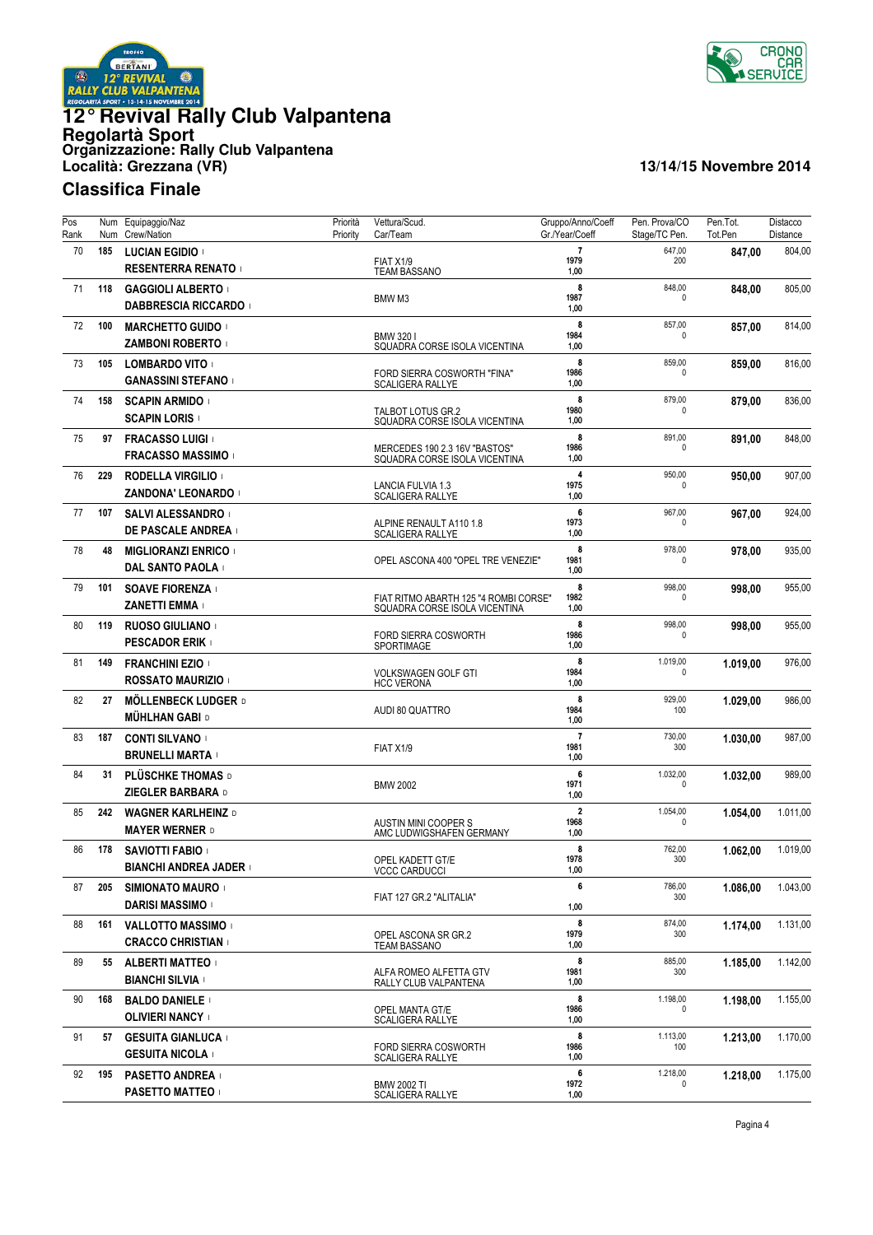

![](_page_3_Picture_1.jpeg)

| Pos<br>Rank | Num<br>Num | Equipaggio/Naz<br>Crew/Nation                          | Priorità<br>Priority | Vettura/Scud.<br>Car/Team                                              | Gruppo/Anno/Coeff<br>Gr./Year/Coeff     | Pen. Prova/CO<br>Stage/TC Pen. | Pen.Tot.<br>Tot.Pen | Distacco<br>Distance |
|-------------|------------|--------------------------------------------------------|----------------------|------------------------------------------------------------------------|-----------------------------------------|--------------------------------|---------------------|----------------------|
| 70          | 185        | <b>LUCIAN EGIDIO</b><br><b>RESENTERRA RENATO</b>       |                      | FIAT X1/9<br><b>TEAM BASSANO</b>                                       | $\overline{7}$<br>1979<br>1,00          | 647,00<br>200                  | 847,00              | 804,00               |
| 71          | 118        | <b>GAGGIOLI ALBERTO</b><br><b>DABBRESCIA RICCARDO</b>  |                      | BMW M3                                                                 | 8<br>1987<br>1,00                       | 848,00<br>0                    | 848,00              | 805,00               |
| 72          | 100        | <b>MARCHETTO GUIDO</b><br><b>ZAMBONI ROBERTO</b>       |                      | BMW 3201<br>SQUADRA CORSE ISOLA VICENTINA                              | 8<br>1984<br>1,00                       | 857,00<br>0                    | 857,00              | 814,00               |
| 73          | 105        | <b>LOMBARDO VITO</b><br><b>GANASSINI STEFANO</b>       |                      | FORD SIERRA COSWORTH "FINA"<br><b>SCALIGERA RALLYE</b>                 | 8<br>1986<br>1,00                       | 859,00<br>0                    | 859,00              | 816,00               |
| 74          | 158        | <b>SCAPIN ARMIDO</b><br><b>SCAPIN LORIS</b>            |                      | TALBOT LOTUS GR.2<br>SQUADRA CORSE ISOLA VICENTINA                     | 8<br>1980<br>1,00                       | 879,00<br><sup>0</sup>         | 879,00              | 836,00               |
| 75          | 97         | <b>FRACASSO LUIGI</b><br><b>FRACASSO MASSIMO</b>       |                      | MERCEDES 190 2.3 16V "BASTOS"<br>SQUADRA CORSE ISOLA VICENTINA         | 8<br>1986<br>1,00                       | 891,00<br><sup>0</sup>         | 891,00              | 848,00               |
| 76          | 229        | <b>RODELLA VIRGILIO</b><br>ZANDONA' LEONARDO +         |                      | LANCIA FULVIA 1.3<br><b>SCALIGERA RALLYE</b>                           | 4<br>1975<br>1,00                       | 950,00<br>0                    | 950,00              | 907,00               |
| 77          | 107        | <b>SALVI ALESSANDRO</b><br><b>DE PASCALE ANDREA</b>    |                      | ALPINE RENAULT A110 1.8<br><b>SCALIGERA RALLYE</b>                     | 6<br>1973<br>1,00                       | 967,00<br>0                    | 967,00              | 924,00               |
| 78          | 48         | <b>MIGLIORANZI ENRICO</b><br><b>DAL SANTO PAOLA</b>    |                      | OPEL ASCONA 400 "OPEL TRE VENEZIE"                                     | 8<br>1981<br>1,00                       | 978,00<br>0                    | 978,00              | 935,00               |
| 79          | 101        | <b>SOAVE FIORENZA</b><br><b>ZANETTI EMMA</b>           |                      | FIAT RITMO ABARTH 125 "4 ROMBI CORSE"<br>SQUADRA CORSE ISOLA VICENTINA | 8<br>1982<br>1,00                       | 998,00<br>0                    | 998,00              | 955,00               |
| 80          | 119        | <b>RUOSO GIULIANO</b><br><b>PESCADOR ERIK</b>          |                      | FORD SIERRA COSWORTH<br>SPORTIMAGE                                     | 8<br>1986<br>1,00                       | 998,00<br>0                    | 998,00              | 955,00               |
| 81          | 149        | <b>FRANCHINI EZIO</b><br><b>ROSSATO MAURIZIO</b>       |                      | <b>VOLKSWAGEN GOLF GTI</b><br><b>HCC VERONA</b>                        | 8<br>1984<br>1,00                       | 1.019,00<br>0                  | 1.019,00            | 976,00               |
| 82          | 27         | <b>MÖLLENBECK LUDGER D</b><br><b>MÜHLHAN GABI D</b>    |                      | AUDI 80 QUATTRO                                                        | 8<br>1984<br>1,00                       | 929,00<br>100                  | 1.029,00            | 986,00               |
| 83          | 187        | <b>CONTI SILVANO</b><br><b>BRUNELLI MARTA</b>          |                      | FIAT X1/9                                                              | $\overline{7}$<br>1981<br>1,00          | 730,00<br>300                  | 1.030,00            | 987,00               |
| 84          | 31         | <b>PLÜSCHKE THOMAS D</b><br>ZIEGLER BARBARA D          |                      | <b>BMW 2002</b>                                                        | 6<br>1971<br>1,00                       | 1.032,00<br>0                  | 1.032,00            | 989,00               |
| 85          | 242        | <b>WAGNER KARLHEINZ D</b><br><b>MAYER WERNER D</b>     |                      | AUSTIN MINI COOPER S<br>AMC LUDWIGSHAFEN GERMANY                       | $\overline{\mathbf{2}}$<br>1968<br>1,00 | 1.054,00<br>0                  | 1.054,00            | 1.011,00             |
| 86          | 178        | <b>SAVIOTTI FABIO</b><br><b>BIANCHI ANDREA JADER</b> I |                      | OPEL KADETT GT/E<br>VCCC CARDUCCI                                      | 8<br>1978<br>1,00                       | 762,00<br>300                  | 1.062.00            | 1.019,00             |
| 87          | 205        | <b>SIMIONATO MAURO</b><br><b>DARISI MASSIMO</b>        |                      | FIAT 127 GR.2 "ALITALIA"                                               | 6<br>1,00                               | 786,00<br>300                  | 1.086.00            | 1.043,00             |
| 88          | 161        | VALLOTTO MASSIMO<br><b>CRACCO CHRISTIAN</b>            |                      | OPEL ASCONA SR GR.2<br>TEAM BASSANO                                    | 8<br>1979<br>1,00                       | 874,00<br>300                  | 1.174,00            | 1.131,00             |
| 89          | 55         | <b>ALBERTI MATTEO</b><br><b>BIANCHI SILVIA</b>         |                      | ALFA ROMEO ALFETTA GTV<br>RALLY CLUB VALPANTENA                        | 8<br>1981<br>1,00                       | 885,00<br>300                  | 1.185,00            | 1.142,00             |
| 90          | 168        | <b>BALDO DANIELE</b><br><b>OLIVIERI NANCY</b>          |                      | OPEL MANTA GT/E<br><b>SCALIGERA RALLYE</b>                             | 8<br>1986<br>1,00                       | 1.198,00<br>0                  | 1.198,00            | 1.155,00             |
| 91          | 57         | <b>GESUITA GIANLUCA</b><br><b>GESUITA NICOLA</b>       |                      | <b>FORD SIERRA COSWORTH</b><br><b>SCALIGERA RALLYE</b>                 | 8<br>1986<br>1,00                       | 1.113,00<br>100                | 1.213,00            | 1.170,00             |
| 92          | 195        | <b>PASETTO ANDREA</b><br><b>PASETTO MATTEO</b>         |                      | <b>BMW 2002 TI</b><br><b>SCALIGERA RALLYE</b>                          | 6<br>1972<br>1,00                       | 1.218,00<br>0                  | 1.218,00            | 1.175,00             |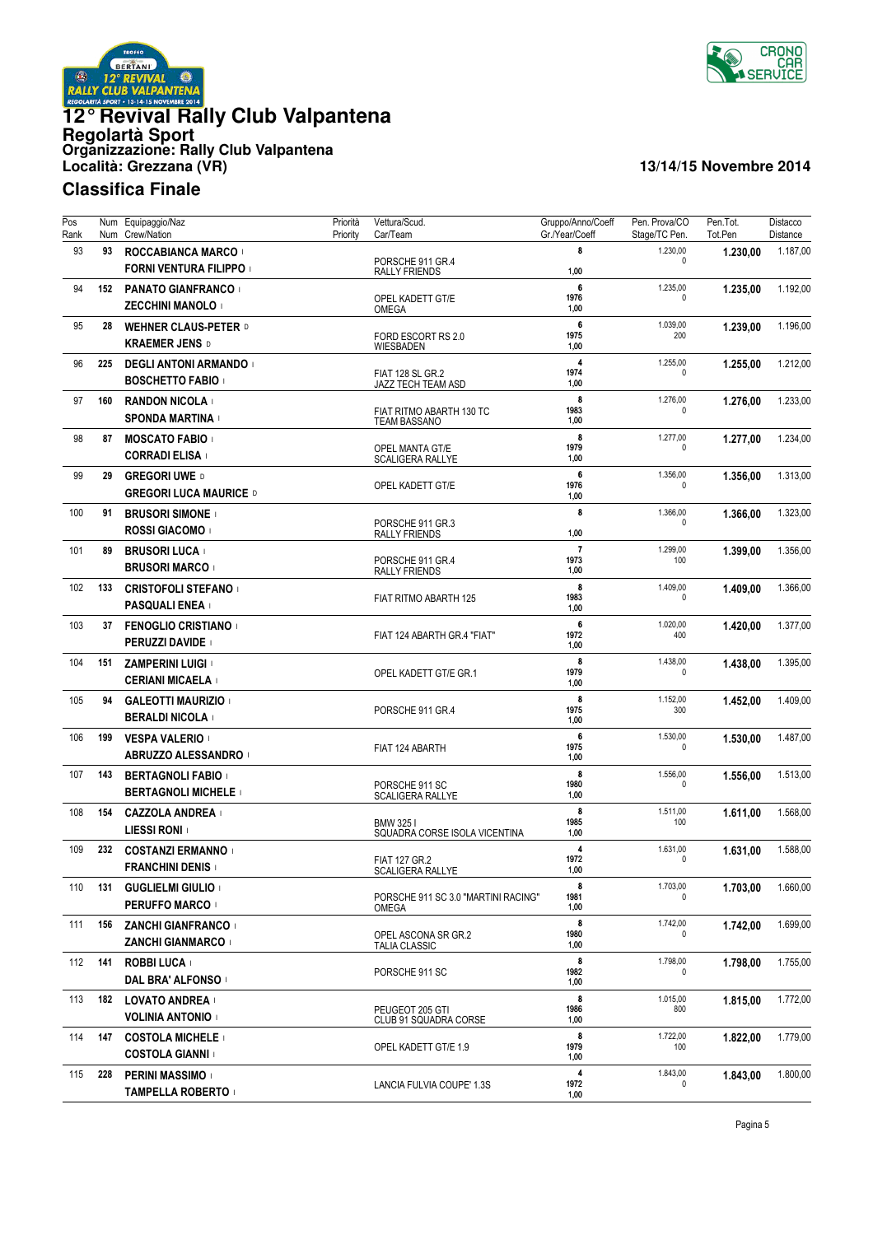![](_page_4_Picture_0.jpeg)

![](_page_4_Picture_1.jpeg)

| Pos<br>Rank | Num<br>Num | Equipaggio/Naz<br>Crew/Nation                              | Priorità<br>Priority | Vettura/Scud.<br>Car/Team                       | Gruppo/Anno/Coeff<br>Gr./Year/Coeff | Pen. Prova/CO<br>Stage/TC Pen. | Pen.Tot.<br>Tot.Pen | Distacco<br>Distance |
|-------------|------------|------------------------------------------------------------|----------------------|-------------------------------------------------|-------------------------------------|--------------------------------|---------------------|----------------------|
| 93          | 93         | <b>ROCCABIANCA MARCO</b><br><b>FORNI VENTURA FILIPPO I</b> |                      | PORSCHE 911 GR.4<br><b>RALLY FRIENDS</b>        | 8<br>1,00                           | 1.230,00<br>0                  | 1.230,00            | 1.187,00             |
| 94          | 152        | <b>PANATO GIANFRANCO</b><br><b>ZECCHINI MANOLO</b>         |                      | OPEL KADETT GT/E<br>OMEGA                       | 6<br>1976<br>1,00                   | 1.235,00<br>0                  | 1.235,00            | 1.192,00             |
| 95          | 28         | <b>WEHNER CLAUS-PETER D</b><br><b>KRAEMER JENS D</b>       |                      | FORD ESCORT RS 2.0<br>WIESBADEN                 | 6<br>1975<br>1,00                   | 1.039,00<br>200                | 1.239,00            | 1.196,00             |
| 96          | 225        | <b>DEGLI ANTONI ARMANDO I</b><br><b>BOSCHETTO FABIO</b>    |                      | FIAT 128 SL GR.2<br>JAZZ TECH TEAM ASD          | $\overline{4}$<br>1974<br>1,00      | 1.255,00<br>0                  | 1.255.00            | 1.212,00             |
| 97          | 160        | <b>RANDON NICOLA</b><br><b>SPONDA MARTINA</b>              |                      | FIAT RITMO ABARTH 130 TC<br><b>TEAM BASSANO</b> | 8<br>1983<br>1,00                   | 1.276,00<br><sup>0</sup>       | 1.276,00            | 1.233,00             |
| 98          | 87         | <b>MOSCATO FABIO</b><br><b>CORRADI ELISA</b>               |                      | OPEL MANTA GT/E<br><b>SCALIGERA RALLYE</b>      | 8<br>1979<br>1,00                   | 1.277,00<br><sup>0</sup>       | 1.277,00            | 1.234,00             |
| 99          | 29         | <b>GREGORI UWE D</b><br><b>GREGORI LUCA MAURICE D</b>      |                      | OPEL KADETT GT/E                                | 6<br>1976<br>1,00                   | 1.356,00<br>0                  | 1.356,00            | 1.313,00             |
| 100         | 91         | <b>BRUSORI SIMONE</b><br><b>ROSSI GIACOMO</b>              |                      | PORSCHE 911 GR.3<br><b>RALLY FRIENDS</b>        | 8<br>1,00                           | 1.366,00<br>0                  | 1.366.00            | 1.323,00             |
| 101         | 89         | <b>BRUSORI LUCA</b><br><b>BRUSORI MARCO</b>                |                      | PORSCHE 911 GR.4<br><b>RALLY FRIENDS</b>        | $\overline{7}$<br>1973<br>1,00      | 1.299,00<br>100                | 1.399,00            | 1.356,00             |
| 102         | 133        | <b>CRISTOFOLI STEFANO</b><br><b>PASQUALI ENEA</b>          |                      | FIAT RITMO ABARTH 125                           | 8<br>1983<br>1,00                   | 1.409,00<br>0                  | 1.409,00            | 1.366,00             |
| 103         | 37         | <b>FENOGLIO CRISTIANO</b><br>PERUZZI DAVIDE                |                      | FIAT 124 ABARTH GR.4 "FIAT"                     | 6<br>1972<br>1,00                   | 1.020,00<br>400                | 1.420,00            | 1.377,00             |
| 104         | 151        | <b>ZAMPERINI LUIGI</b><br><b>CERIANI MICAELA</b>           |                      | OPEL KADETT GT/E GR.1                           | 8<br>1979<br>1,00                   | 1.438,00<br>0                  | 1.438,00            | 1.395,00             |
| 105         | 94         | <b>GALEOTTI MAURIZIO</b><br><b>BERALDI NICOLA</b>          |                      | PORSCHE 911 GR.4                                | 8<br>1975<br>1,00                   | 1.152,00<br>300                | 1.452,00            | 1.409,00             |
| 106         | 199        | <b>VESPA VALERIO</b><br>ABRUZZO ALESSANDRO                 |                      | FIAT 124 ABARTH                                 | 6<br>1975<br>1,00                   | 1.530,00<br>0                  | 1.530,00            | 1.487,00             |
| 107         | 143        | <b>BERTAGNOLI FABIO</b><br><b>BERTAGNOLI MICHELE</b>       |                      | PORSCHE 911 SC<br><b>SCALIGERA RALLYE</b>       | 8<br>1980<br>1,00                   | 1.556,00<br>0                  | 1.556,00            | 1.513,00             |
| 108         | 154        | <b>CAZZOLA ANDREA</b><br><b>LIESSI RONI</b>                |                      | BMW 3251<br>SQUADRA CORSE ISOLA VICENTINA       | 8<br>1985<br>1,00                   | 1.511,00<br>100                | 1.611,00            | 1.568,00             |
| 109         | 232        | <b>COSTANZI ERMANNO</b><br><b>FRANCHINI DENIS  </b>        |                      | <b>FIAT 127 GR.2</b><br>SCALIGERA RALLYE        | 4<br>1972<br>1,00                   | 1.631,00<br>0                  | 1.631,00            | 1.588,00             |
| 110         | 131        | <b>GUGLIELMI GIULIO</b><br>PERUFFO MARCO                   |                      | PORSCHE 911 SC 3.0 "MARTINI RACING"<br>OMEGA    | 8<br>1981<br>1,00                   | 1.703,00<br>0                  | 1.703,00            | 1.660,00             |
| 111         | 156        | ZANCHI GIANFRANCO +<br><b>ZANCHI GIANMARCO</b>             |                      | OPEL ASCONA SR GR.2<br><b>TALIA CLASSIC</b>     | 8<br>1980<br>1,00                   | 1.742,00<br>0                  | 1.742,00            | 1.699,00             |
| 112         | 141        | <b>ROBBI LUCA</b><br><b>DAL BRA' ALFONSO</b>               |                      | PORSCHE 911 SC                                  | 8<br>1982<br>1,00                   | 1.798,00<br>0                  | 1.798,00            | 1.755,00             |
| 113         | 182        | LOVATO ANDREA<br>VOLINIA ANTONIO                           |                      | PEUGEOT 205 GTI<br>CLUB 91 SQUADRA CORSE        | 8<br>1986<br>1,00                   | 1.015,00<br>800                | 1.815,00            | 1.772,00             |
| 114         | 147        | <b>COSTOLA MICHELE</b><br><b>COSTOLA GIANNI</b>            |                      | OPEL KADETT GT/E 1.9                            | 8<br>1979<br>1,00                   | 1.722,00<br>100                | 1.822,00            | 1.779,00             |
| 115         | 228        | <b>PERINI MASSIMO</b><br><b>TAMPELLA ROBERTO</b>           |                      | LANCIA FULVIA COUPE' 1.3S                       | 4<br>1972<br>1,00                   | 1.843,00<br>$\mathbf{0}$       | 1.843,00            | 1.800,00             |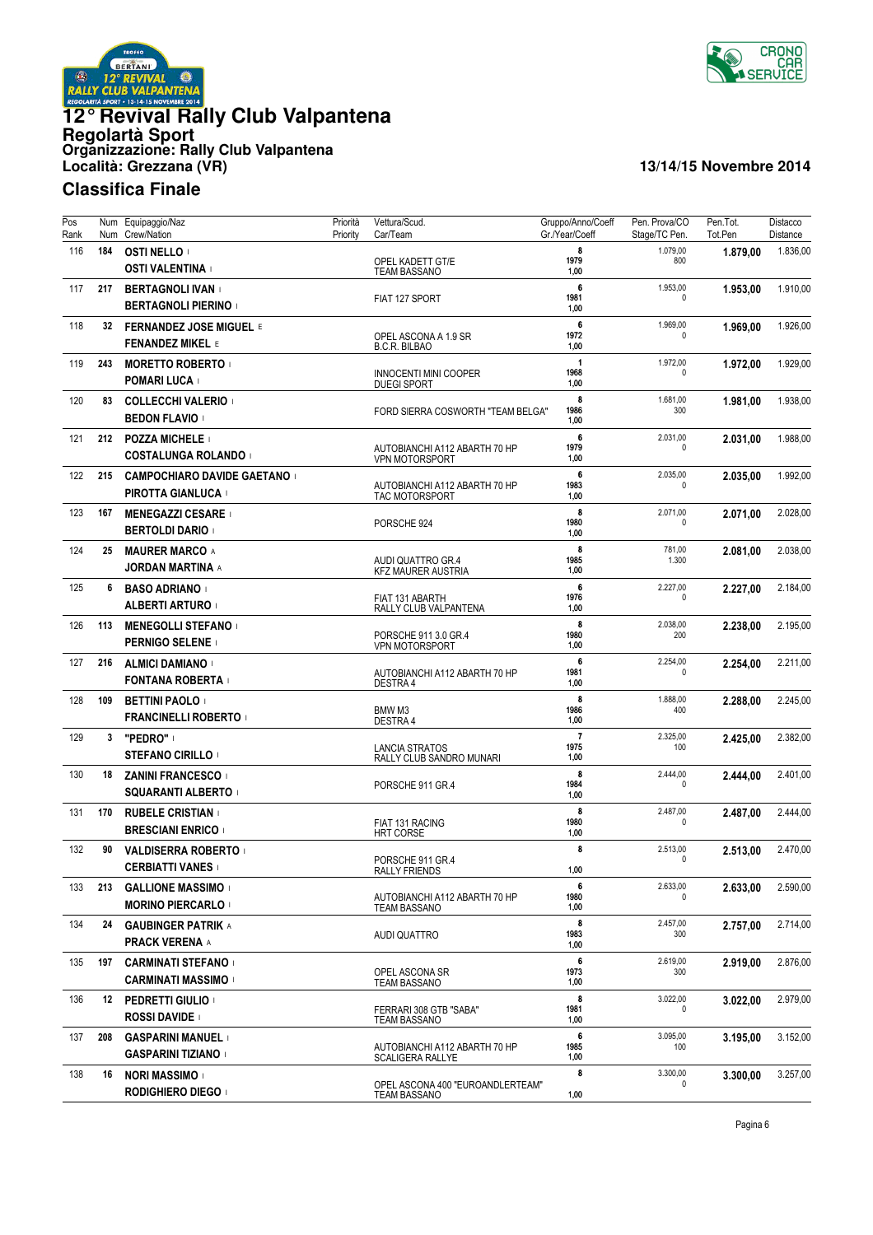![](_page_5_Picture_0.jpeg)

![](_page_5_Picture_1.jpeg)

| $\overline{Pos}$<br>Rank | Num | Num Equipaggio/Naz<br>Crew/Nation                         | Priorità<br>Priority | Vettura/Scud.<br>Car/Team                                | Gruppo/Anno/Coeff<br>Gr./Year/Coeff | Pen. Prova/CO<br>Stage/TC Pen. | Pen.Tot.<br>Tot.Pen | Distacco<br>Distance |
|--------------------------|-----|-----------------------------------------------------------|----------------------|----------------------------------------------------------|-------------------------------------|--------------------------------|---------------------|----------------------|
| 116                      | 184 | <b>OSTI NELLO</b><br><b>OSTI VALENTINA</b>                |                      | OPEL KADETT GT/E<br><b>TEAM BASSANO</b>                  | 8<br>1979<br>1,00                   | 1.079,00<br>800                | 1.879,00            | 1.836,00             |
| 117                      | 217 | <b>BERTAGNOLI IVAN</b><br><b>BERTAGNOLI PIERINO</b>       |                      | FIAT 127 SPORT                                           | 6<br>1981<br>1,00                   | 1.953,00<br>$\mathbf{0}$       | 1.953,00            | 1.910,00             |
| 118                      | 32  | <b>FERNANDEZ JOSE MIGUEL E</b><br><b>FENANDEZ MIKEL E</b> |                      | OPEL ASCONA A 1.9 SR<br><b>B.C.R. BILBAO</b>             | 6<br>1972<br>1,00                   | 1.969,00<br>$\mathbf 0$        | 1.969,00            | 1.926,00             |
| 119                      | 243 | <b>MORETTO ROBERTO</b><br>POMARI LUCA +                   |                      | <b>INNOCENTI MINI COOPER</b><br><b>DUEGI SPORT</b>       | $\mathbf{1}$<br>1968<br>1,00        | 1.972,00<br>$\mathbf{0}$       | 1.972,00            | 1.929,00             |
| 120                      | 83  | <b>COLLECCHI VALERIO</b><br><b>BEDON FLAVIO</b>           |                      | FORD SIERRA COSWORTH "TEAM BELGA"                        | 8<br>1986<br>1,00                   | 1.681,00<br>300                | 1.981,00            | 1.938,00             |
| 121                      | 212 | <b>POZZA MICHELE</b><br><b>COSTALUNGA ROLANDO</b>         |                      | AUTOBIANCHI A112 ABARTH 70 HP<br><b>VPN MOTORSPORT</b>   | 6<br>1979<br>1,00                   | 2.031,00<br>$\Omega$           | 2.031,00            | 1.988,00             |
| 122                      | 215 | <b>CAMPOCHIARO DAVIDE GAETANO</b><br>PIROTTA GIANLUCA +   |                      | AUTOBIANCHI A112 ABARTH 70 HP<br><b>TAC MOTORSPORT</b>   | 6<br>1983<br>1,00                   | 2.035,00<br>$\mathbf 0$        | 2.035,00            | 1.992,00             |
| 123                      | 167 | <b>MENEGAZZI CESARE</b><br><b>BERTOLDI DARIO</b>          |                      | PORSCHE 924                                              | 8<br>1980<br>1,00                   | 2.071,00<br>$\Omega$           | 2.071,00            | 2.028,00             |
| 124                      | 25  | <b>MAURER MARCO A</b><br><b>JORDAN MARTINA A</b>          |                      | AUDI QUATTRO GR.4<br><b>KFZ MAURER AUSTRIA</b>           | 8<br>1985<br>1,00                   | 781,00<br>1.300                | 2.081,00            | 2.038,00             |
| 125                      | 6   | <b>BASO ADRIANO</b><br><b>ALBERTI ARTURO</b>              |                      | FIAT 131 ABARTH<br>RALLY CLUB VALPANTENA                 | 6<br>1976<br>1,00                   | 2.227,00<br>$\mathbf 0$        | 2.227,00            | 2.184,00             |
| 126                      | 113 | <b>MENEGOLLI STEFANO</b><br><b>PERNIGO SELENE</b>         |                      | PORSCHE 911 3.0 GR.4<br><b>VPN MOTORSPORT</b>            | 8<br>1980<br>1,00                   | 2.038,00<br>200                | 2.238,00            | 2.195,00             |
| 127                      | 216 | <b>ALMICI DAMIANO</b><br><b>FONTANA ROBERTA</b>           |                      | AUTOBIANCHI A112 ABARTH 70 HP<br>DESTRA 4                | 6<br>1981<br>1,00                   | 2.254,00<br>$\mathbf 0$        | 2.254,00            | 2.211,00             |
| 128                      | 109 | <b>BETTINI PAOLO</b><br><b>FRANCINELLI ROBERTO</b>        |                      | BMW M3<br><b>DESTRA 4</b>                                | 8<br>1986<br>1,00                   | 1.888,00<br>400                | 2.288,00            | 2.245,00             |
| 129                      | 3   | "PEDRO"<br><b>STEFANO CIRILLO</b>                         |                      | <b>LANCIA STRATOS</b><br>RALLY CLUB SANDRO MUNARI        | $\overline{7}$<br>1975<br>1,00      | 2.325,00<br>100                | 2.425,00            | 2.382,00             |
| 130                      | 18  | <b>ZANINI FRANCESCO</b><br><b>SQUARANTI ALBERTO  </b>     |                      | PORSCHE 911 GR.4                                         | 8<br>1984<br>1,00                   | 2.444,00<br>$\mathbf 0$        | 2.444,00            | 2.401,00             |
| 131                      | 170 | <b>RUBELE CRISTIAN</b><br><b>BRESCIANI ENRICO</b>         |                      | FIAT 131 RACING<br><b>HRT CORSE</b>                      | 8<br>1980<br>1,00                   | 2.487,00<br>0                  | 2.487,00            | 2.444,00             |
| 132                      | 90  | <b>VALDISERRA ROBERTO</b><br><b>CERBIATTI VANES</b>       |                      | PORSCHE 911 GR.4<br>RALLY FRIENDS                        | 8<br>1,00                           | 2.513,00<br>0                  | 2.513,00            | 2.470,00             |
| 133                      | 213 | <b>GALLIONE MASSIMO</b><br><b>MORINO PIERCARLO</b>        |                      | AUTOBIANCHI A112 ABARTH 70 HP<br><b>TEAM BASSANO</b>     | 6<br>1980<br>1,00                   | 2.633,00<br>0                  | 2.633,00            | 2.590,00             |
| 134                      | 24  | <b>GAUBINGER PATRIK A</b><br><b>PRACK VERENA A</b>        |                      | <b>AUDI QUATTRO</b>                                      | 8<br>1983<br>1,00                   | 2.457,00<br>300                | 2.757,00            | 2.714,00             |
| 135                      | 197 | <b>CARMINATI STEFANO</b><br><b>CARMINATI MASSIMO</b>      |                      | OPEL ASCONA SR<br><b>TEAM BASSANO</b>                    | 6<br>1973<br>1,00                   | 2.619,00<br>300                | 2.919,00            | 2.876,00             |
| 136                      | 12  | <b>PEDRETTI GIULIO</b><br><b>ROSSI DAVIDE</b>             |                      | FERRARI 308 GTB "SABA"<br>TEAM BASSANO                   | 8<br>1981<br>1,00                   | 3.022,00<br>0                  | 3.022,00            | 2.979,00             |
| 137                      | 208 | <b>GASPARINI MANUEL</b><br><b>GASPARINI TIZIANO</b>       |                      | AUTOBIANCHI A112 ABARTH 70 HP<br><b>SCALIGERA RALLYE</b> | 6<br>1985<br>1,00                   | 3.095,00<br>100                | 3.195,00            | 3.152,00             |
| 138                      | 16  | <b>NORI MASSIMO</b><br><b>RODIGHIERO DIEGO</b>            |                      | OPEL ASCONA 400 "EUROANDLERTEAM"<br>TEAM BASSANO         | 8<br>1,00                           | 3.300,00<br>$\mathbf 0$        | 3.300,00            | 3.257,00             |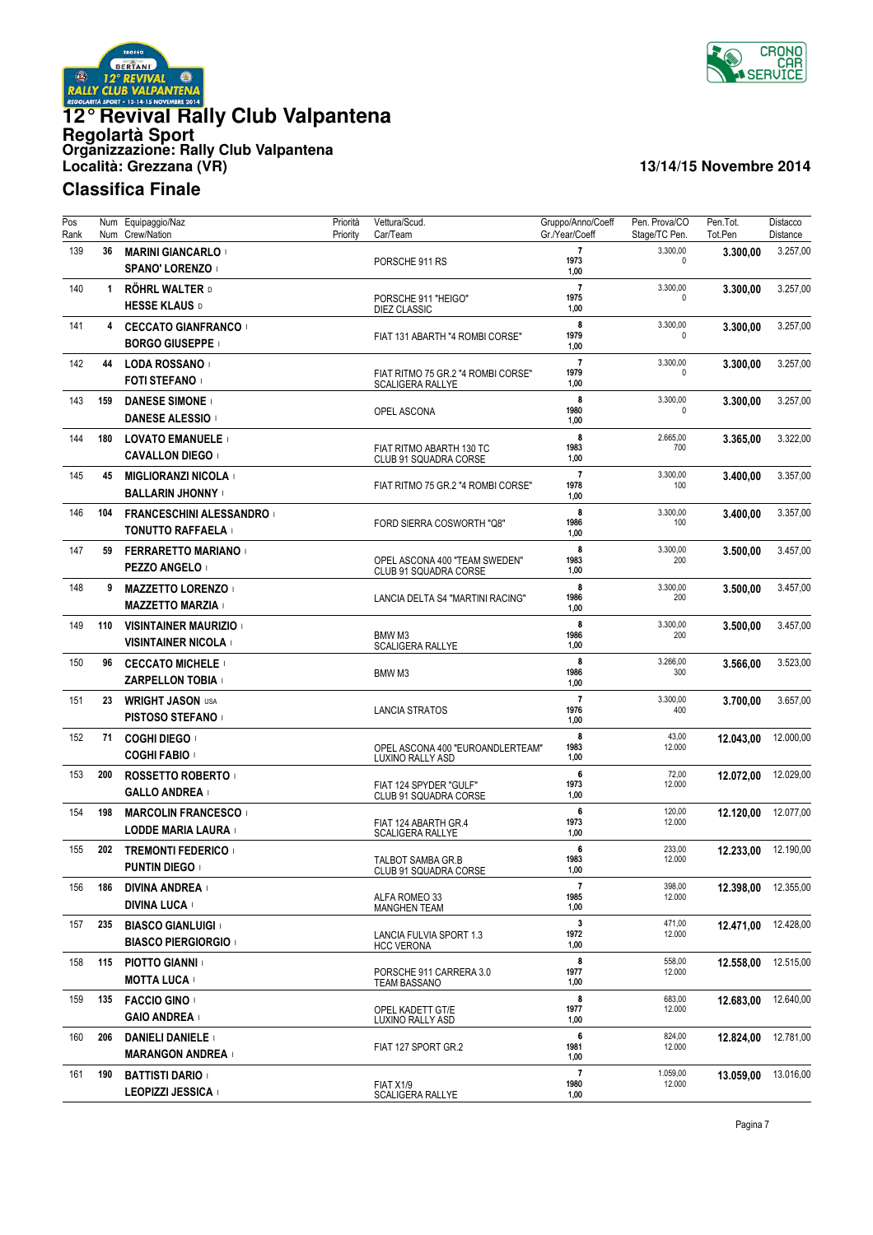![](_page_6_Picture_0.jpeg)

![](_page_6_Picture_1.jpeg)

| Pos<br>Rank | Num<br>Num   | Equipaggio/Naz<br>Crew/Nation                            | Priorità<br>Priority | Vettura/Scud.<br>Car/Team                                     | Gruppo/Anno/Coeff<br>Gr./Year/Coeff     | Pen. Prova/CO<br>Stage/TC Pen. | Pen.Tot.<br>Tot.Pen | Distacco<br>Distance |
|-------------|--------------|----------------------------------------------------------|----------------------|---------------------------------------------------------------|-----------------------------------------|--------------------------------|---------------------|----------------------|
| 139         | 36           | <b>MARINI GIANCARLO</b><br><b>SPANO' LORENZO</b>         |                      | PORSCHE 911 RS                                                | $\overline{7}$<br>1973<br>1,00          | 3.300,00<br>0                  | 3.300,00            | 3.257,00             |
| 140         | $\mathbf{1}$ | <b>RÖHRL WALTER D</b><br><b>HESSE KLAUS D</b>            |                      | PORSCHE 911 "HEIGO"<br><b>DIEZ CLASSIC</b>                    | $\overline{7}$<br>1975<br>1,00          | 3.300,00<br>$\mathbf 0$        | 3.300,00            | 3.257,00             |
| 141         | 4            | <b>CECCATO GIANFRANCO</b><br><b>BORGO GIUSEPPE</b>       |                      | FIAT 131 ABARTH "4 ROMBI CORSE"                               | 8<br>1979<br>1,00                       | 3.300,00<br>0                  | 3.300,00            | 3.257,00             |
| 142         | 44           | <b>LODA ROSSANO</b><br><b>FOTI STEFANO</b>               |                      | FIAT RITMO 75 GR.2 "4 ROMBI CORSE"<br><b>SCALIGERA RALLYE</b> | $\overline{7}$<br>1979<br>1,00          | 3.300,00<br>$\mathbf 0$        | 3.300,00            | 3.257,00             |
| 143         | 159          | <b>DANESE SIMONE</b><br><b>DANESE ALESSIO</b>            |                      | OPEL ASCONA                                                   | 8<br>1980<br>1,00                       | 3.300,00<br>0                  | 3.300,00            | 3.257,00             |
| 144         | 180          | <b>LOVATO EMANUELE</b><br><b>CAVALLON DIEGO  </b>        |                      | FIAT RITMO ABARTH 130 TC<br>CLUB 91 SQUADRA CORSE             | 8<br>1983<br>1,00                       | 2.665,00<br>700                | 3.365,00            | 3.322,00             |
| 145         | 45           | <b>MIGLIORANZI NICOLA</b><br><b>BALLARIN JHONNY</b>      |                      | FIAT RITMO 75 GR.2 "4 ROMBI CORSE"                            | $\overline{7}$<br>1978<br>1,00          | 3.300,00<br>100                | 3.400,00            | 3.357,00             |
| 146         | 104          | <b>FRANCESCHINI ALESSANDRO</b><br>TONUTTO RAFFAELA       |                      | FORD SIERRA COSWORTH "Q8"                                     | 8<br>1986<br>1,00                       | 3.300,00<br>100                | 3.400,00            | 3.357,00             |
| 147         | 59           | <b>FERRARETTO MARIANO</b><br>PEZZO ANGELO I              |                      | OPEL ASCONA 400 "TEAM SWEDEN"<br>CLUB 91 SQUADRA CORSE        | 8<br>1983<br>1,00                       | 3.300,00<br>200                | 3.500,00            | 3.457,00             |
| 148         | 9            | <b>MAZZETTO LORENZO</b><br><b>MAZZETTO MARZIA</b>        |                      | LANCIA DELTA S4 "MARTINI RACING"                              | 8<br>1986<br>1,00                       | 3.300,00<br>200                | 3.500,00            | 3.457,00             |
| 149         | 110          | <b>VISINTAINER MAURIZIO</b><br><b>VISINTAINER NICOLA</b> |                      | BMW M3<br><b>SCALIGERA RALLYE</b>                             | 8<br>1986<br>1,00                       | 3.300,00<br>200                | 3.500,00            | 3.457,00             |
| 150         | 96           | <b>CECCATO MICHELE</b><br><b>ZARPELLON TOBIA</b>         |                      | BMW M3                                                        | 8<br>1986<br>1,00                       | 3.266,00<br>300                | 3.566,00            | 3.523,00             |
| 151         | 23           | <b>WRIGHT JASON USA</b><br><b>PISTOSO STEFANO</b>        |                      | <b>LANCIA STRATOS</b>                                         | $\overline{7}$<br>1976<br>1,00          | 3.300,00<br>400                | 3.700,00            | 3.657,00             |
| 152         | 71           | <b>COGHI DIEGO I</b><br><b>COGHI FABIO</b>               |                      | OPEL ASCONA 400 "EUROANDLERTEAM"<br>LUXINO RALLY ASD          | 8<br>1983<br>1,00                       | 43,00<br>12.000                | 12.043,00           | 12.000,00            |
| 153         | 200          | <b>ROSSETTO ROBERTO</b><br><b>GALLO ANDREA</b>           |                      | FIAT 124 SPYDER "GULF"<br>CLUB 91 SQUADRA CORSE               | 6<br>1973<br>1,00                       | 72,00<br>12.000                | 12.072,00           | 12.029,00            |
| 154         | 198          | <b>MARCOLIN FRANCESCO</b><br>LODDE MARIA LAURA           |                      | FIAT 124 ABARTH GR.4<br><b>SCALIGERA RALLYE</b>               | 6<br>1973<br>1,00                       | 120,00<br>12.000               | 12.120.00           | 12.077,00            |
| 155         | 202          | <b>TREMONTI FEDERICO</b><br><b>PUNTIN DIEGO  </b>        |                      | TALBOT SAMBA GR.B<br>CLUB 91 SQUADRA CORSE                    | 6<br>1983<br>1,00                       | 233,00<br>12.000               | 12.233,00           | 12.190,00            |
| 156         | 186          | <b>DIVINA ANDREA</b><br><b>DIVINA LUCA</b>               |                      | ALFA ROMEO 33<br><b>MANGHEN TEAM</b>                          | $\overline{7}$<br>1985<br>1,00          | 398,00<br>12.000               | 12.398.00           | 12.355,00            |
| 157         | 235          | <b>BIASCO GIANLUIGI</b><br><b>BIASCO PIERGIORGIO</b>     |                      | LANCIA FULVIA SPORT 1.3<br><b>HCC VERONA</b>                  | $\mathbf{3}$<br>1972<br>1,00            | 471,00<br>12.000               | 12.471,00           | 12.428,00            |
| 158         | 115          | <b>PIOTTO GIANNI</b><br><b>MOTTA LUCA</b>                |                      | PORSCHE 911 CARRERA 3.0<br><b>TEAM BASSANO</b>                | 8<br>1977<br>1,00                       | 558,00<br>12.000               | 12.558,00           | 12.515,00            |
| 159         | 135          | <b>FACCIO GINO</b><br><b>GAIO ANDREA</b>                 |                      | OPEL KADETT GT/E<br>LUXINO RALLY ASD                          | 8<br>1977<br>1,00                       | 683,00<br>12.000               | 12.683,00           | 12.640,00            |
| 160         | 206          | <b>DANIELI DANIELE</b><br><b>MARANGON ANDREA</b>         |                      | FIAT 127 SPORT GR.2                                           | 6<br>1981<br>1,00                       | 824,00<br>12.000               | 12.824,00           | 12.781,00            |
| 161         | 190          | <b>BATTISTI DARIO</b><br>LEOPIZZI JESSICA                |                      | FIAT X1/9<br>SCALIGERA RALLYE                                 | $\overline{\mathbf{r}}$<br>1980<br>1,00 | 1.059,00<br>12.000             | 13.059,00           | 13.016,00            |